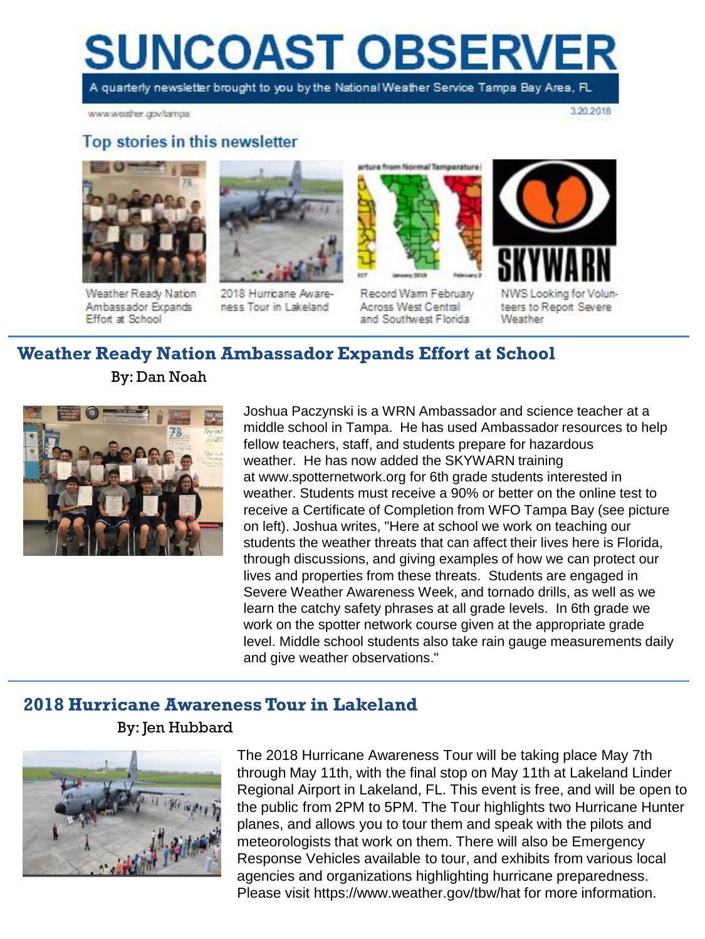# **SUNCOAST OBSERVER**

A quarterly newsletter brought to you by the National Weather Service Tampa Bay Area, FL

www.weather.gov/tampa

3.20.2018

#### Top stories in this newsletter



Weather Ready Nation Ambassador Expands Effort at School



2018 Hurricane Awareness Tour in Lakeland



Record Warm February Across West Central and Southwest Florida



Weather

**Weather Ready Nation Ambassador Expands Effort at School** By: Dan Noah



Joshua Paczynski is a WRN Ambassador and science teacher at a middle school in Tampa. He has used Ambassador resources to help fellow teachers, staff, and students prepare for hazardous weather. He has now added the SKYWARN training at www.spotternetwork.org for 6th grade students interested in weather. Students must receive a 90% or better on the online test to receive a Certificate of Completion from WFO Tampa Bay (see picture on left). Joshua writes, "Here at school we work on teaching our students the weather threats that can affect their lives here is Florida, through discussions, and giving examples of how we can protect our lives and properties from these threats. Students are engaged in Severe Weather Awareness Week, and tornado drills, as well as we learn the catchy safety phrases at all grade levels. In 6th grade we work on the spotter network course given at the appropriate grade level. Middle school students also take rain gauge measurements daily and give weather observations."

## **2018 Hurricane Awareness Tour in Lakeland**

By: Jen Hubbard



The 2018 Hurricane Awareness Tour will be taking place May 7th through May 11th, with the final stop on May 11th at Lakeland Linder Regional Airport in Lakeland, FL. This event is free, and will be open to the public from 2PM to 5PM. The Tour highlights two Hurricane Hunter planes, and allows you to tour them and speak with the pilots and meteorologists that work on them. There will also be Emergency Response Vehicles available to tour, and exhibits from various local agencies and organizations highlighting hurricane preparedness. Please visit https://www.weather.gov/tbw/hat for more information.